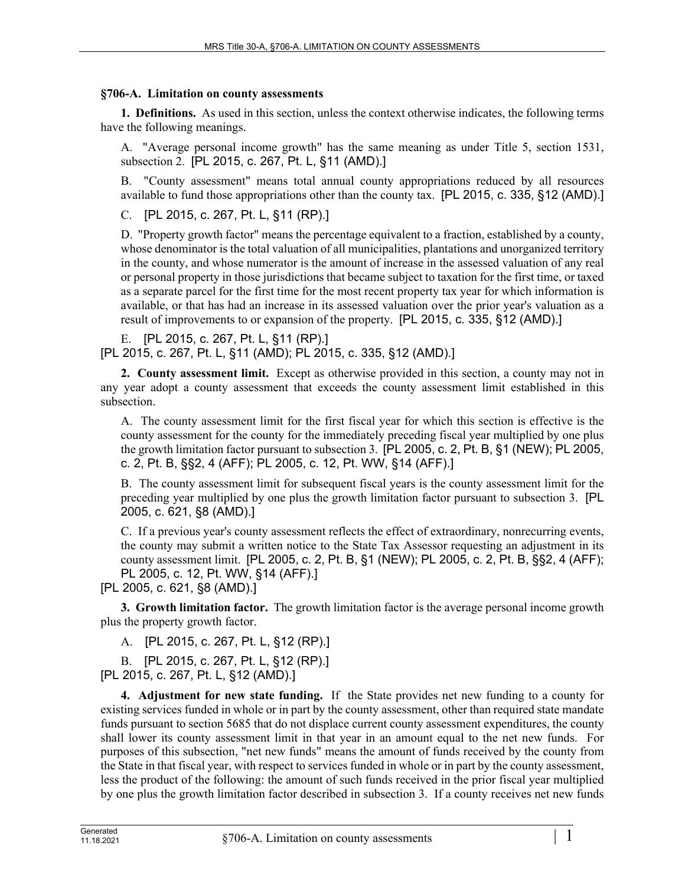## **§706-A. Limitation on county assessments**

**1. Definitions.** As used in this section, unless the context otherwise indicates, the following terms have the following meanings.

A. "Average personal income growth" has the same meaning as under Title 5, section 1531, subsection 2. [PL 2015, c. 267, Pt. L, §11 (AMD).]

B. "County assessment" means total annual county appropriations reduced by all resources available to fund those appropriations other than the county tax. [PL 2015, c. 335, §12 (AMD).]

C. [PL 2015, c. 267, Pt. L, §11 (RP).]

D. "Property growth factor" means the percentage equivalent to a fraction, established by a county, whose denominator is the total valuation of all municipalities, plantations and unorganized territory in the county, and whose numerator is the amount of increase in the assessed valuation of any real or personal property in those jurisdictions that became subject to taxation for the first time, or taxed as a separate parcel for the first time for the most recent property tax year for which information is available, or that has had an increase in its assessed valuation over the prior year's valuation as a result of improvements to or expansion of the property. [PL 2015, c. 335, §12 (AMD).]

E. [PL 2015, c. 267, Pt. L, §11 (RP).] [PL 2015, c. 267, Pt. L, §11 (AMD); PL 2015, c. 335, §12 (AMD).]

**2. County assessment limit.** Except as otherwise provided in this section, a county may not in any year adopt a county assessment that exceeds the county assessment limit established in this subsection.

A. The county assessment limit for the first fiscal year for which this section is effective is the county assessment for the county for the immediately preceding fiscal year multiplied by one plus the growth limitation factor pursuant to subsection 3. [PL 2005, c. 2, Pt. B, §1 (NEW); PL 2005, c. 2, Pt. B, §§2, 4 (AFF); PL 2005, c. 12, Pt. WW, §14 (AFF).]

B. The county assessment limit for subsequent fiscal years is the county assessment limit for the preceding year multiplied by one plus the growth limitation factor pursuant to subsection 3. [PL 2005, c. 621, §8 (AMD).]

C. If a previous year's county assessment reflects the effect of extraordinary, nonrecurring events, the county may submit a written notice to the State Tax Assessor requesting an adjustment in its county assessment limit. [PL 2005, c. 2, Pt. B, §1 (NEW); PL 2005, c. 2, Pt. B, §§2, 4 (AFF); PL 2005, c. 12, Pt. WW, §14 (AFF).]

[PL 2005, c. 621, §8 (AMD).]

**3. Growth limitation factor.** The growth limitation factor is the average personal income growth plus the property growth factor.

A. [PL 2015, c. 267, Pt. L, §12 (RP).]

B. [PL 2015, c. 267, Pt. L, §12 (RP).]

[PL 2015, c. 267, Pt. L, §12 (AMD).]

**4. Adjustment for new state funding.** If the State provides net new funding to a county for existing services funded in whole or in part by the county assessment, other than required state mandate funds pursuant to section 5685 that do not displace current county assessment expenditures, the county shall lower its county assessment limit in that year in an amount equal to the net new funds. For purposes of this subsection, "net new funds" means the amount of funds received by the county from the State in that fiscal year, with respect to services funded in whole or in part by the county assessment, less the product of the following: the amount of such funds received in the prior fiscal year multiplied by one plus the growth limitation factor described in subsection 3. If a county receives net new funds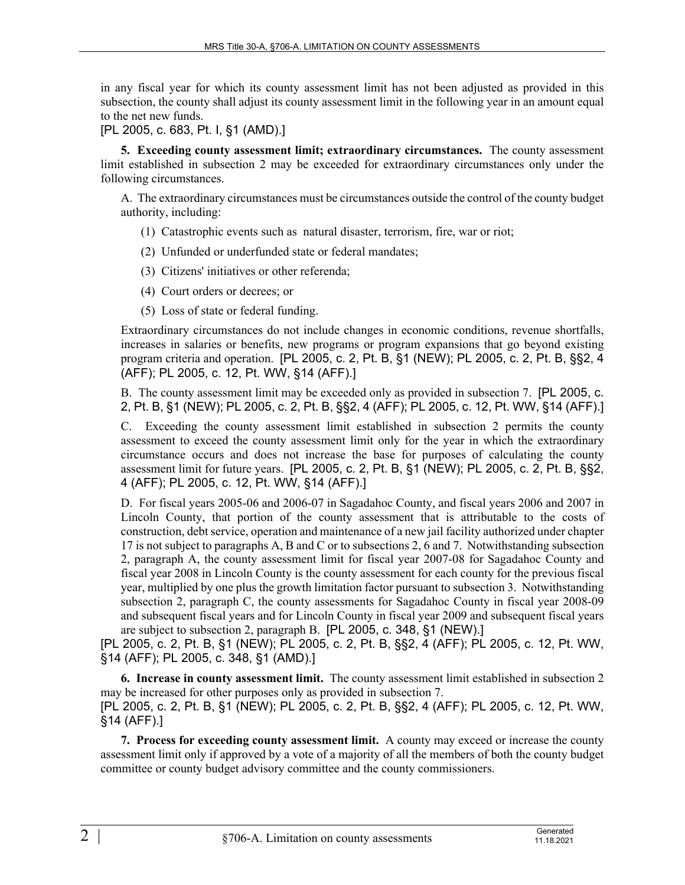in any fiscal year for which its county assessment limit has not been adjusted as provided in this subsection, the county shall adjust its county assessment limit in the following year in an amount equal to the net new funds.

[PL 2005, c. 683, Pt. I, §1 (AMD).]

**5. Exceeding county assessment limit; extraordinary circumstances.** The county assessment limit established in subsection 2 may be exceeded for extraordinary circumstances only under the following circumstances.

A. The extraordinary circumstances must be circumstances outside the control of the county budget authority, including:

- (1) Catastrophic events such as natural disaster, terrorism, fire, war or riot;
- (2) Unfunded or underfunded state or federal mandates;
- (3) Citizens' initiatives or other referenda;
- (4) Court orders or decrees; or
- (5) Loss of state or federal funding.

Extraordinary circumstances do not include changes in economic conditions, revenue shortfalls, increases in salaries or benefits, new programs or program expansions that go beyond existing program criteria and operation. [PL 2005, c. 2, Pt. B, §1 (NEW); PL 2005, c. 2, Pt. B, §§2, 4 (AFF); PL 2005, c. 12, Pt. WW, §14 (AFF).]

B. The county assessment limit may be exceeded only as provided in subsection 7. [PL 2005, c. 2, Pt. B, §1 (NEW); PL 2005, c. 2, Pt. B, §§2, 4 (AFF); PL 2005, c. 12, Pt. WW, §14 (AFF).]

C. Exceeding the county assessment limit established in subsection 2 permits the county assessment to exceed the county assessment limit only for the year in which the extraordinary circumstance occurs and does not increase the base for purposes of calculating the county assessment limit for future years. [PL 2005, c. 2, Pt. B, §1 (NEW); PL 2005, c. 2, Pt. B, §§2, 4 (AFF); PL 2005, c. 12, Pt. WW, §14 (AFF).]

D. For fiscal years 2005-06 and 2006-07 in Sagadahoc County, and fiscal years 2006 and 2007 in Lincoln County, that portion of the county assessment that is attributable to the costs of construction, debt service, operation and maintenance of a new jail facility authorized under chapter 17 is not subject to paragraphs A, B and C or to subsections 2, 6 and 7. Notwithstanding subsection 2, paragraph A, the county assessment limit for fiscal year 2007-08 for Sagadahoc County and fiscal year 2008 in Lincoln County is the county assessment for each county for the previous fiscal year, multiplied by one plus the growth limitation factor pursuant to subsection 3. Notwithstanding subsection 2, paragraph C, the county assessments for Sagadahoc County in fiscal year 2008-09 and subsequent fiscal years and for Lincoln County in fiscal year 2009 and subsequent fiscal years are subject to subsection 2, paragraph B. [PL 2005, c. 348, §1 (NEW).]

[PL 2005, c. 2, Pt. B, §1 (NEW); PL 2005, c. 2, Pt. B, §§2, 4 (AFF); PL 2005, c. 12, Pt. WW, §14 (AFF); PL 2005, c. 348, §1 (AMD).]

**6. Increase in county assessment limit.** The county assessment limit established in subsection 2 may be increased for other purposes only as provided in subsection 7. [PL 2005, c. 2, Pt. B, §1 (NEW); PL 2005, c. 2, Pt. B, §§2, 4 (AFF); PL 2005, c. 12, Pt. WW, §14 (AFF).]

**7. Process for exceeding county assessment limit.** A county may exceed or increase the county assessment limit only if approved by a vote of a majority of all the members of both the county budget committee or county budget advisory committee and the county commissioners.